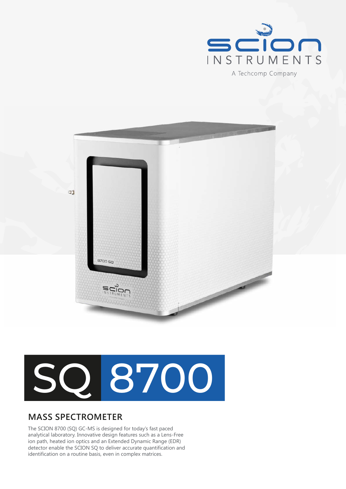



# SQ 8700

# **MASS SPECTROMETER**

The SCION 8700 (SQ) GC-MS is designed for today's fast paced analytical laboratory. Innovative design features such as a Lens-Free ion path, heated ion optics and an Extended Dynamic Range (EDR) detector enable the SCION SQ to deliver accurate quantification and identification on a routine basis, even in complex matrices.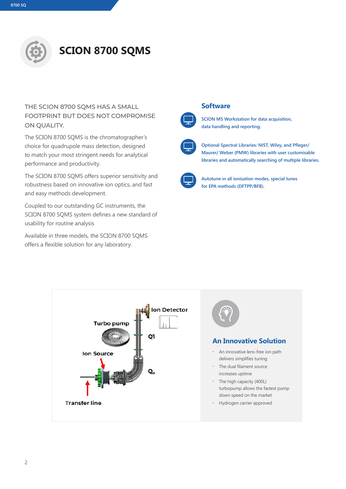

# **SCION 8700 SQMS**

#### THE SCION 8700 SQMS HAS A SMALL FOOTPRINT BUT DOES NOT COMPROMISE ON OUALITY.

The SCION 8700 SQMS is the chromatographer's choice for quadrupole mass detection, designed to match your most stringent needs for analytical performance and productivity.

The SCION 8700 SQMS offers superior sensitivity and robustness based on innovative ion optics, and fast and easy methods development.

Coupled to our outstanding GC instruments, the SCION 8700 SQMS system defines a new standard of usability for routine analysis

Available in three models, the SCION 8700 SQMS offers a flexible solution for any laboratory.





**SCION MS Workstation for data acquisition, data handling and reporting.**



**Optional Spectral Libraries: NIST, Wiley, and Pfleger/ Maurer/ Weber (PMW) libraries with user customisable libraries and automatically searching of multiple libraries.** 



**Autotune in all ionisation modes, special tunes for EPA methods (DFTPP/BFB).**





#### **An Innovative Solution**

- **∙** An innovative lens-free ion path delivers simplifies tuning
- **∙** The dual filament source increases uptime
- **∙** The high capacity (400L) turbopump allows the fastest pump down speed on the market
- **∙** Hydrogen carrier approved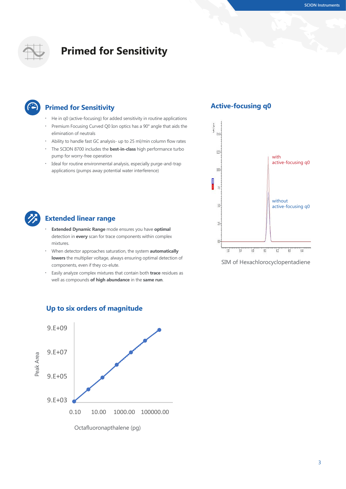

# **Primed for Sensitivity**

## **Primed for Sensitivity**

- **∙** He in q0 (active-focusing) for added sensitivity in routine applications
- **∙** Premium Focusing Curved Q0 Ion optics has a 90° angle that aids the elimination of neutrals
- **∙** Ability to handle fast GC analysis- up to 25 ml/min column flow rates
- **∙** The SCION 8700 includes the **best-in-class** high performance turbo pump for worry-free operation
- **∙** Ideal for routine environmental analysis, especially purge-and-trap applications (pumps away potential water interference)

#### **Active-focusing q0**



## **Extended linear range**

- **∙ Extended Dynamic Range** mode ensures you have **optimal** detection in **every** scan for trace components within complex mixtures.
- **∙** When detector approaches saturation, the system **automatically lowers** the multiplier voltage, always ensuring optimal detection of components, even if they co-elute.
- **∙** Easily analyze complex mixtures that contain both **trace** residues as well as compounds **of high abundance** in the **same run**.



#### **Up to six orders of magnitude**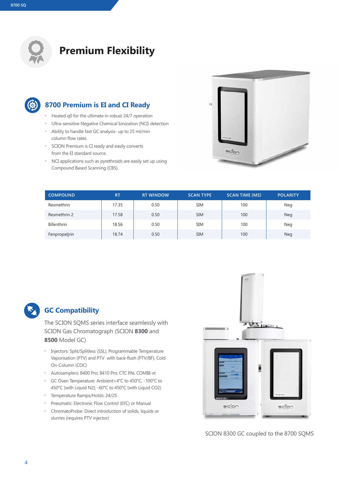

# **Premium Flexibility**



## **8700 Premium is EI and CI Ready**

- **∙** Heated q0 for the ultimate in robust 24/7 operation
- **∙** Ultra-sensitive Negative Chemical Ionization (NCI) detection
- **∙** Ability to handle fast GC analysis- up to 25 ml/min column flow rates
- **∙** SCION Premium is CI ready and easily converts from the EI standard source.
- **∙** NCI applications such as pyrethroids are easily set up using Compound Based Scanning (CBS).



| <b>COMPOUND</b> | <b>RT</b> | <b>RT WINDOW</b> | <b>SCAN TYPE</b> | <b>SCAN TIME (MS)</b> | <b>POLARITY</b> |
|-----------------|-----------|------------------|------------------|-----------------------|-----------------|
| Resmethrin      | 17.35     | 0.50             | <b>SIM</b>       | 100                   | Neg             |
| Resmethrin 2    | 17.58     | 0.50             | <b>SIM</b>       | 100                   | <b>Neg</b>      |
| Bifenthrin      | 18.56     | 0.50             | <b>SIM</b>       | 100                   | Neg             |
| Fenpropatjrin   | 18.74     | 0.50             | <b>SIM</b>       | 100                   | Neg             |



## **GC Compatibility**

The SCION SQMS series interface seamlessly with SCION Gas Chromatograph (SCION **8300** and **8500** Model GC)

- **∙** Injectors: Split/Splitless (SSL), Programmable Temperature Vaporisation (PTV) and PTV with back-flush (PTV/BF), Cold On-Column (COC)
- **∙** Autosamplers: 8400 Pro; 8410 Pro; CTC PAL COMBI-xt
- **∙** GC Oven Temperature: Ambient+4°C to 450°C, -100°C to 450°C (with Liquid N2); -60°C to 450°C (with Liquid CO2)
- **∙** Temperature Ramps/Holds: 24/25
- **∙** Pneumatic: Electronic Flow Control (EFC) or Manual
- **∙** ChromatoProbe: Direct introduction of solids, liquids or slurries (requires PTV injector)



SCION 8300 GC coupled to the 8700 SQMS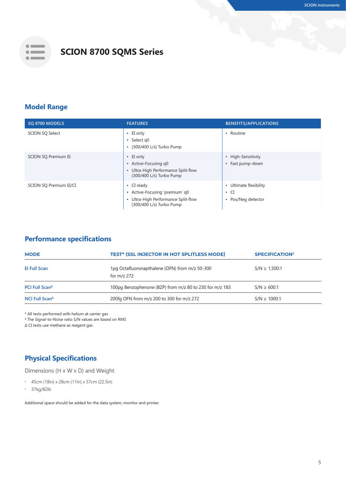

# **SCION 8700 SQMS Series**

## **Model Range**

| SQ 8700 MODELS             | <b>FEATURES</b>                                                                                                       | <b>BENEFITS/APPLICATIONS</b>                                                     |
|----------------------------|-----------------------------------------------------------------------------------------------------------------------|----------------------------------------------------------------------------------|
| <b>SCION SO Select</b>     | $\cdot$ EI only<br>$\cdot$ Select q0<br>$\cdot$ (300/400 L/s) Turbo Pump                                              | • Routine                                                                        |
| <b>SCION SQ Premium EI</b> | $\cdot$ EI only<br>• Active-Focusing q0<br>• Ultra-High Performance Split-flow<br>(300/400 L/s) Turbo Pump            | • High-Sensitivity<br>• Fast pump-down                                           |
| SCION SQ Premium EI/CI     | $\cdot$ CI ready<br>• Active-Focusing 'premium' q0<br>• Ultra-High Performance Split-flow<br>(300/400 L/s) Turbo Pump | Ultimate flexibility<br>$\bullet$<br>$\cdot$ CI<br>Pos/Neg detector<br>$\bullet$ |

#### **Performance specifications**

| 1pg Octafluoronapthalene (OFN) from m/z 50-300<br><b>El Full Scan</b><br>$S/N \ge 1.500:1$<br>for $m/z$ 272                   |  |
|-------------------------------------------------------------------------------------------------------------------------------|--|
| 100pg Benzophenone (BZP) from m/z 80 to 230 for m/z 183<br>PCI Full Scan <sup><math>\triangle</math></sup><br>$S/N \ge 600:1$ |  |
| 200fg OFN from m/z 200 to 300 for m/z 272<br><b>NCI Full Scan<sup>4</sup></b><br>$S/N \ge 1000:1$                             |  |

\* All tests performed with helium at carrier gas

† The Signal-to-Noise ratio S/N values are based on RMS

Δ CI tests use methane as reagent gas

## **Physical Specifications**

Dimensions (H x W x D) and Weight

- **∙** 45cm (18in) x 28cm (11in) x 57cm (22.5in)
- **∙** 37kg/82lb

Additional space should be added for the data system, monitor and printer.